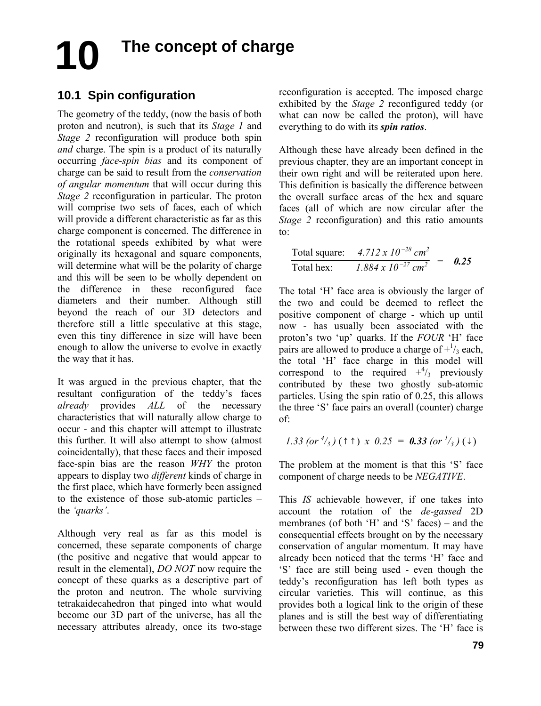# **The concept of charge 10**

## **10.1 Spin configuration**

The geometry of the teddy, (now the basis of both proton and neutron), is such that its *Stage 1* and *Stage 2* reconfiguration will produce both spin *and* charge. The spin is a product of its naturally occurring *face-spin bias* and its component of charge can be said to result from the *conservation of angular momentum* that will occur during this *Stage 2* reconfiguration in particular. The proton will comprise two sets of faces, each of which will provide a different characteristic as far as this charge component is concerned. The difference in the rotational speeds exhibited by what were originally its hexagonal and square components, will determine what will be the polarity of charge and this will be seen to be wholly dependent on the difference in these reconfigured face diameters and their number. Although still beyond the reach of our 3D detectors and therefore still a little speculative at this stage, even this tiny difference in size will have been enough to allow the universe to evolve in exactly the way that it has.

It was argued in the previous chapter, that the resultant configuration of the teddy's faces *already* provides *ALL* of the necessary characteristics that will naturally allow charge to occur - and this chapter will attempt to illustrate this further. It will also attempt to show (almost coincidentally), that these faces and their imposed face-spin bias are the reason *WHY* the proton appears to display two *different* kinds of charge in the first place, which have formerly been assigned to the existence of those sub-atomic particles – the *'quarks'*.

Although very real as far as this model is concerned, these separate components of charge (the positive and negative that would appear to result in the elemental), *DO NOT* now require the concept of these quarks as a descriptive part of the proton and neutron. The whole surviving tetrakaidecahedron that pinged into what would become our 3D part of the universe, has all the necessary attributes already, once its two-stage reconfiguration is accepted. The imposed charge exhibited by the *Stage 2* reconfigured teddy (or what can now be called the proton), will have everything to do with its *spin ratios*.

Although these have already been defined in the previous chapter, they are an important concept in their own right and will be reiterated upon here. This definition is basically the difference between the overall surface areas of the hex and square faces (all of which are now circular after the *Stage 2* reconfiguration) and this ratio amounts to:

Total square: 
$$
4.712 \times 10^{-28} \text{ cm}^2
$$
  
Total hex:  $1.884 \times 10^{-27} \text{ cm}^2$  = **0.25**

The total 'H' face area is obviously the larger of the two and could be deemed to reflect the positive component of charge - which up until now - has usually been associated with the proton's two 'up' quarks. If the *FOUR* 'H' face pairs are allowed to produce a charge of  $+1/3$  each, the total 'H' face charge in this model will correspond to the required  $+^{4}/_{3}$  previously contributed by these two ghostly sub-atomic particles. Using the spin ratio of 0.25, this allows the three 'S' face pairs an overall (counter) charge of:

1.33 (or 
$$
^{4}/_{3}
$$
)( $\uparrow$   $\uparrow$ ) x 0.25 = 0.33 (or  $^{1}/_{3}$ )( $\downarrow$ )

The problem at the moment is that this 'S' face component of charge needs to be *NEGATIVE*.

This *IS* achievable however, if one takes into account the rotation of the *de-gassed* 2D membranes (of both 'H' and 'S' faces) – and the consequential effects brought on by the necessary conservation of angular momentum. It may have already been noticed that the terms 'H' face and 'S' face are still being used - even though the teddy's reconfiguration has left both types as circular varieties. This will continue, as this provides both a logical link to the origin of these planes and is still the best way of differentiating between these two different sizes. The 'H' face is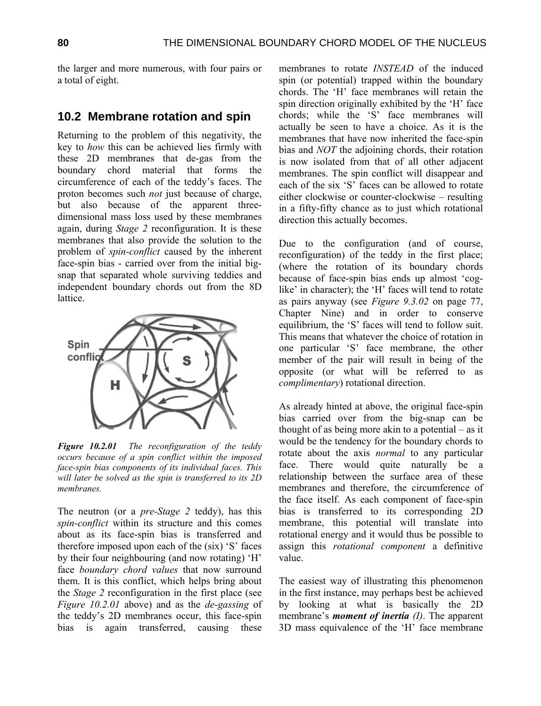the larger and more numerous, with four pairs or a total of eight.

#### **10.2 Membrane rotation and spin**

Returning to the problem of this negativity, the key to *how* this can be achieved lies firmly with these 2D membranes that de-gas from the boundary chord material that forms the circumference of each of the teddy's faces. The proton becomes such *not* just because of charge, but also because of the apparent threedimensional mass loss used by these membranes again, during *Stage 2* reconfiguration. It is these membranes that also provide the solution to the problem of *spin-conflict* caused by the inherent face-spin bias - carried over from the initial bigsnap that separated whole surviving teddies and independent boundary chords out from the 8D lattice.



*Figure 10.2.01 The reconfiguration of the teddy occurs because of a spin conflict within the imposed face-spin bias components of its individual faces. This will later be solved as the spin is transferred to its 2D membranes.* 

The neutron (or a *pre-Stage 2* teddy), has this *spin-conflict* within its structure and this comes about as its face-spin bias is transferred and therefore imposed upon each of the (six) 'S' faces by their four neighbouring (and now rotating) 'H' face *boundary chord values* that now surround them. It is this conflict, which helps bring about the *Stage 2* reconfiguration in the first place (see *Figure 10.2.01* above) and as the *de-gassing* of the teddy's 2D membranes occur, this face-spin bias is again transferred, causing these membranes to rotate *INSTEAD* of the induced spin (or potential) trapped within the boundary chords. The 'H' face membranes will retain the spin direction originally exhibited by the 'H' face chords; while the 'S' face membranes will actually be seen to have a choice. As it is the membranes that have now inherited the face-spin bias and *NOT* the adjoining chords, their rotation is now isolated from that of all other adjacent membranes. The spin conflict will disappear and each of the six 'S' faces can be allowed to rotate either clockwise or counter-clockwise – resulting in a fifty-fifty chance as to just which rotational direction this actually becomes.

Due to the configuration (and of course, reconfiguration) of the teddy in the first place; (where the rotation of its boundary chords because of face-spin bias ends up almost 'coglike' in character); the 'H' faces will tend to rotate as pairs anyway (see *Figure 9.3.02* on page 77, Chapter Nine) and in order to conserve equilibrium, the 'S' faces will tend to follow suit. This means that whatever the choice of rotation in one particular 'S' face membrane, the other member of the pair will result in being of the opposite (or what will be referred to as *complimentary*) rotational direction.

As already hinted at above, the original face-spin bias carried over from the big-snap can be thought of as being more akin to a potential – as it would be the tendency for the boundary chords to rotate about the axis *normal* to any particular face. There would quite naturally be a relationship between the surface area of these membranes and therefore, the circumference of the face itself. As each component of face-spin bias is transferred to its corresponding 2D membrane, this potential will translate into rotational energy and it would thus be possible to assign this *rotational component* a definitive value.

The easiest way of illustrating this phenomenon in the first instance, may perhaps best be achieved by looking at what is basically the 2D membrane's *moment of inertia (I)*. The apparent 3D mass equivalence of the 'H' face membrane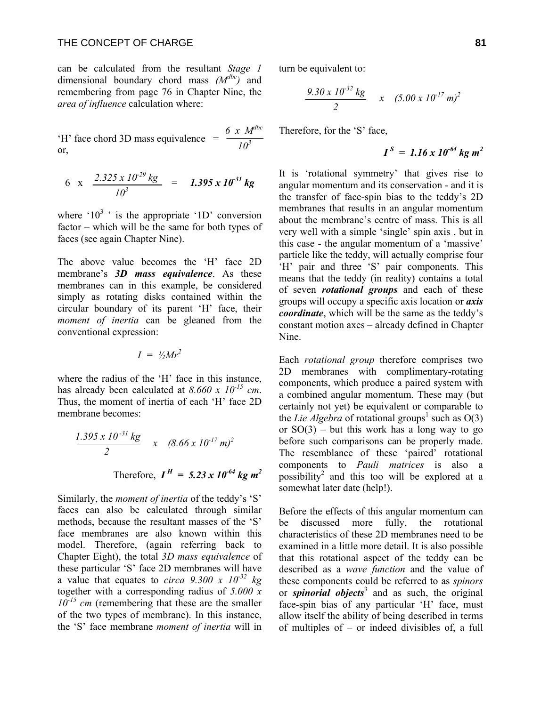#### THE CONCEPT OF CHARGE **81**

can be calculated from the resultant *Stage 1* dimensional boundary chord mass *(Mdbc)* and remembering from page 76 in Chapter Nine, the *area of influence* calculation where:

 *6 x Mdbc* 'H' face chord 3D mass equivalence  $=\frac{6.714}{10^3}$ or,

$$
6 \times \frac{2.325 \times 10^{-29} \text{ kg}}{10^3} = 1.395 \times 10^{-31} \text{ kg}
$$

where ' $10^3$ ' is the appropriate ' $1D$ ' conversion factor – which will be the same for both types of faces (see again Chapter Nine).

The above value becomes the 'H' face 2D membrane's *3D mass equivalence*. As these membranes can in this example, be considered simply as rotating disks contained within the circular boundary of its parent 'H' face, their *moment of inertia* can be gleaned from the conventional expression:

$$
I = \frac{1}{2}Mr^2
$$

where the radius of the 'H' face in this instance, has already been calculated at *8.660 x 10-15 cm*. Thus, the moment of inertia of each 'H' face 2D membrane becomes:

$$
\frac{1.395 \times 10^{-31} \text{ kg}}{2} \times (8.66 \times 10^{-17} \text{ m})^2
$$
  
Therefore,  $I^H = 5.23 \times 10^{-64} \text{ kg m}^2$ 

Similarly, the *moment of inertia* of the teddy's 'S' faces can also be calculated through similar methods, because the resultant masses of the 'S' face membranes are also known within this model. Therefore, (again referring back to Chapter Eight), the total *3D mass equivalence* of these particular 'S' face 2D membranes will have a value that equates to *circa 9.300 x 10-32 kg* together with a corresponding radius of *5.000 x 10-15 cm* (remembering that these are the smaller of the two types of membrane). In this instance, the 'S' face membrane *moment of inertia* will in turn be equivalent to:

$$
\frac{9.30 \times 10^{-32} \text{ kg}}{2} \times (5.00 \times 10^{-17} \text{ m})^2
$$

Therefore, for the 'S' face,

$$
I^S = 1.16 \times 10^{-64} \text{ kg m}^2
$$

It is 'rotational symmetry' that gives rise to angular momentum and its conservation - and it is the transfer of face-spin bias to the teddy's 2D membranes that results in an angular momentum about the membrane's centre of mass. This is all very well with a simple 'single' spin axis , but in this case - the angular momentum of a 'massive' particle like the teddy, will actually comprise four 'H' pair and three 'S' pair components. This means that the teddy (in reality) contains a total of seven *rotational groups* and each of these groups will occupy a specific axis location or *axis coordinate*, which will be the same as the teddy's constant motion axes – already defined in Chapter Nine.

Each *rotational group* therefore comprises two 2D membranes with complimentary-rotating components, which produce a paired system with a combined angular momentum. These may (but certainly not yet) be equivalent or comparable to the *Lie Algebra* of rotational groups<sup>1</sup> such as  $O(3)$ or  $SO(3)$  – but this work has a long way to go before such comparisons can be properly made. The resemblance of these 'paired' rotational components to *Pauli matrices* is also a possibility<sup>2</sup> and this too will be explored at a somewhat later date (help!).

Before the effects of this angular momentum can be discussed more fully, the rotational characteristics of these 2D membranes need to be examined in a little more detail. It is also possible that this rotational aspect of the teddy can be described as a *wave function* and the value of these components could be referred to as *spinors* or *spinorial objects*<sup>3</sup> and as such, the original face-spin bias of any particular 'H' face, must allow itself the ability of being described in terms of multiples of – or indeed divisibles of, a full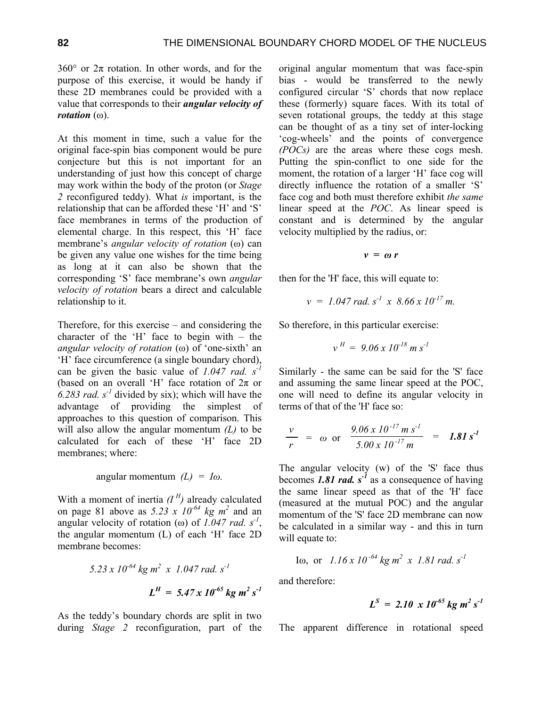360 $^{\circ}$  or  $2\pi$  rotation. In other words, and for the purpose of this exercise, it would be handy if these 2D membranes could be provided with a value that corresponds to their *angular velocity of rotation* (ω).

At this moment in time, such a value for the original face-spin bias component would be pure conjecture but this is not important for an understanding of just how this concept of charge may work within the body of the proton (or *Stage 2* reconfigured teddy). What *is* important, is the relationship that can be afforded these 'H' and 'S' face membranes in terms of the production of elemental charge. In this respect, this 'H' face membrane's *angular velocity of rotation* (ω) can be given any value one wishes for the time being as long at it can also be shown that the corresponding 'S' face membrane's own *angular velocity of rotation* bears a direct and calculable relationship to it.

Therefore, for this exercise – and considering the character of the 'H' face to begin with – the *angular velocity of rotation* (ω) of 'one-sixth' an 'H' face circumference (a single boundary chord), can be given the basic value of *1.047 rad. s-1* (based on an overall 'H' face rotation of  $2\pi$  or 6.283 rad.  $s<sup>-1</sup>$  divided by six); which will have the advantage of providing the simplest of approaches to this question of comparison. This will also allow the angular momentum *(L)* to be calculated for each of these 'H' face 2D membranes; where:

angular momentum 
$$
(L) = I\omega
$$
.

With a moment of inertia  $(I^H)$  already calculated on page 81 above as  $5.23 \times 10^{-64}$  kg  $m^2$  and an angular velocity of rotation ( $\omega$ ) of *1.047 rad.* s<sup>-1</sup>, the angular momentum (L) of each 'H' face 2D membrane becomes:

$$
5.23 \times 10^{-64} \text{ kg m}^2 \times 1.047 \text{ rad. s}^{-1}
$$

$$
L^H = 5.47 \times 10^{-65} \text{ kg m}^2 \text{ s}^{-1}
$$

As the teddy's boundary chords are split in two during *Stage 2* reconfiguration, part of the original angular momentum that was face-spin bias - would be transferred to the newly configured circular 'S' chords that now replace these (formerly) square faces. With its total of seven rotational groups, the teddy at this stage can be thought of as a tiny set of inter-locking 'cog-wheels' and the points of convergence *(POCs)* are the areas where these cogs mesh. Putting the spin-conflict to one side for the moment, the rotation of a larger 'H' face cog will directly influence the rotation of a smaller 'S' face cog and both must therefore exhibit *the same* linear speed at the *POC*. As linear speed is constant and is determined by the angular velocity multiplied by the radius, or:

$$
v = \omega r
$$

then for the 'H' face, this will equate to:

$$
v = 1.047 \, rad. \, s^{-1} \, x \, 8.66 \, x \, 10^{-17} \, m.
$$

So therefore, in this particular exercise:

$$
v^H = 9.06 \times 10^{-18} \, m \, s^{-1}
$$

Similarly - the same can be said for the 'S' face and assuming the same linear speed at the POC, one will need to define its angular velocity in terms of that of the 'H' face so:

$$
\frac{v}{r} = \omega \text{ or } \frac{9.06 \times 10^{-17} m s^{-1}}{5.00 \times 10^{-17} m} = 1.81 s^{-1}
$$

The angular velocity (w) of the 'S' face thus becomes 1.81 rad.  $s^1$  as a consequence of having the same linear speed as that of the 'H' face (measured at the mutual POC) and the angular momentum of the 'S' face 2D membrane can now be calculated in a similar way - and this in turn will equate to:

I<sub>0</sub>, or 
$$
1.16 \times 10^{-64}
$$
 kg m<sup>2</sup> x 1.81 rad. s<sup>-1</sup>

and therefore:

$$
L^S = 2.10 \times 10^{-65} \text{ kg m}^2 \text{ s}^{-1}
$$

The apparent difference in rotational speed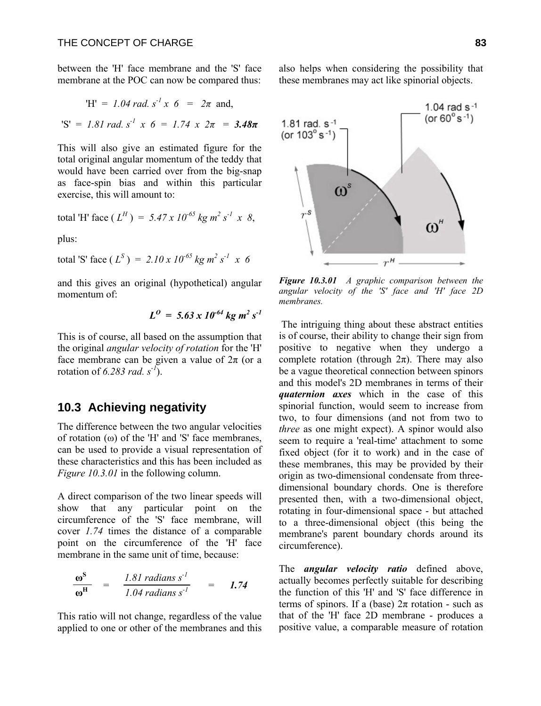between the 'H' face membrane and the 'S' face membrane at the POC can now be compared thus:

$$
'H' = 1.04 \text{ rad. } s^2 x \ 6 = 2\pi \text{ and,}
$$
  

$$
'S' = 1.81 \text{ rad. } s^2 x \ 6 = 1.74 \text{ x } 2\pi = 3.48\pi
$$

This will also give an estimated figure for the total original angular momentum of the teddy that would have been carried over from the big-snap as face-spin bias and within this particular exercise, this will amount to:

total 'H' face (
$$
L^H
$$
) = 5.47 x 10<sup>-65</sup> kg m<sup>2</sup> s<sup>-1</sup> x 8,

plus:

total 'S' face (
$$
L^S
$$
) = 2.10 x 10<sup>-65</sup> kg m<sup>2</sup> s<sup>-1</sup> x 6

and this gives an original (hypothetical) angular momentum of:

$$
L^0 = 5.63 \times 10^{-64} \text{ kg m}^2 \text{ s}^{-1}
$$

This is of course, all based on the assumption that the original *angular velocity of rotation* for the 'H' face membrane can be given a value of  $2\pi$  (or a rotation of *6.283 rad. s-1*).

#### **10.3 Achieving negativity**

The difference between the two angular velocities of rotation  $(\omega)$  of the 'H' and 'S' face membranes, can be used to provide a visual representation of these characteristics and this has been included as *Figure 10.3.01* in the following column.

A direct comparison of the two linear speeds will show that any particular point on the circumference of the 'S' face membrane, will cover *1.74* times the distance of a comparable point on the circumference of the 'H' face membrane in the same unit of time, because:

$$
\frac{\omega^{\rm S}}{\omega^{\rm H}} = \frac{1.81 \text{ radians } s^{-1}}{1.04 \text{ radians } s^{-1}} = 1.74
$$

This ratio will not change, regardless of the value applied to one or other of the membranes and this also helps when considering the possibility that these membranes may act like spinorial objects.



*Figure 10.3.01 A graphic comparison between the angular velocity of the 'S' face and 'H' face 2D membranes.* 

 The intriguing thing about these abstract entities is of course, their ability to change their sign from positive to negative when they undergo a complete rotation (through  $2\pi$ ). There may also be a vague theoretical connection between spinors and this model's 2D membranes in terms of their *quaternion axes* which in the case of this spinorial function, would seem to increase from two, to four dimensions (and not from two to *three* as one might expect). A spinor would also seem to require a 'real-time' attachment to some fixed object (for it to work) and in the case of these membranes, this may be provided by their origin as two-dimensional condensate from threedimensional boundary chords. One is therefore presented then, with a two-dimensional object, rotating in four-dimensional space - but attached to a three-dimensional object (this being the membrane's parent boundary chords around its circumference).

The *angular velocity ratio* defined above, actually becomes perfectly suitable for describing the function of this 'H' and 'S' face difference in terms of spinors. If a (base)  $2π$  rotation - such as that of the 'H' face 2D membrane - produces a positive value, a comparable measure of rotation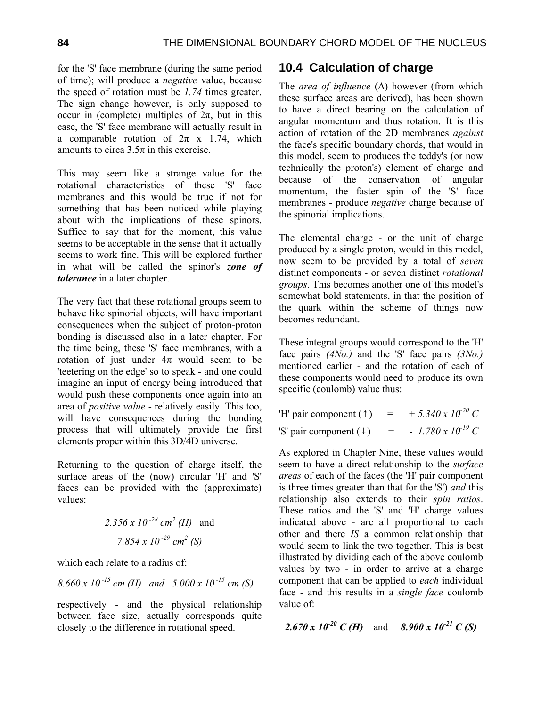for the 'S' face membrane (during the same period of time); will produce a *negative* value, because the speed of rotation must be *1.74* times greater. The sign change however, is only supposed to occur in (complete) multiples of  $2\pi$ , but in this case, the 'S' face membrane will actually result in a comparable rotation of  $2\pi$  x 1.74, which amounts to circa  $3.5\pi$  in this exercise.

This may seem like a strange value for the rotational characteristics of these 'S' face membranes and this would be true if not for something that has been noticed while playing about with the implications of these spinors. Suffice to say that for the moment, this value seems to be acceptable in the sense that it actually seems to work fine. This will be explored further in what will be called the spinor's *zone of tolerance* in a later chapter.

The very fact that these rotational groups seem to behave like spinorial objects, will have important consequences when the subject of proton-proton bonding is discussed also in a later chapter. For the time being, these 'S' face membranes, with a rotation of just under  $4\pi$  would seem to be 'teetering on the edge' so to speak - and one could imagine an input of energy being introduced that would push these components once again into an area of *positive value* - relatively easily. This too, will have consequences during the bonding process that will ultimately provide the first elements proper within this 3D/4D universe.

Returning to the question of charge itself, the surface areas of the (now) circular 'H' and 'S' faces can be provided with the (approximate) values:

$$
2.356 \times 10^{-28} \text{ cm}^2 \text{ (H)} \text{ and}
$$

$$
7.854 \times 10^{-29} \text{ cm}^2 \text{ (S)}
$$

which each relate to a radius of

$$
8.660 \times 10^{-15}
$$
 cm (H) and  $5.000 \times 10^{-15}$  cm (S)

respectively - and the physical relationship between face size, actually corresponds quite closely to the difference in rotational speed.

### **10.4 Calculation of charge**

The *area of influence* (∆) however (from which these surface areas are derived), has been shown to have a direct bearing on the calculation of angular momentum and thus rotation. It is this action of rotation of the 2D membranes *against* the face's specific boundary chords, that would in this model, seem to produces the teddy's (or now technically the proton's) element of charge and because of the conservation of angular momentum, the faster spin of the 'S' face membranes - produce *negative* charge because of the spinorial implications.

The elemental charge - or the unit of charge produced by a single proton, would in this model, now seem to be provided by a total of *seven* distinct components - or seven distinct *rotational groups*. This becomes another one of this model's somewhat bold statements, in that the position of the quark within the scheme of things now becomes redundant.

These integral groups would correspond to the 'H' face pairs *(4No.)* and the 'S' face pairs *(3No.)* mentioned earlier - and the rotation of each of these components would need to produce its own specific (coulomb) value thus:

| 'H' pair component $(1)$ |     | $+$ 5.340 x 10 <sup>-20</sup> C |
|--------------------------|-----|---------------------------------|
| 'S' pair component $(1)$ | $=$ | $-1.780 \times 10^{-19} C$      |

As explored in Chapter Nine, these values would seem to have a direct relationship to the *surface areas* of each of the faces (the 'H' pair component is three times greater than that for the 'S') *and* this relationship also extends to their *spin ratios*. These ratios and the 'S' and 'H' charge values indicated above - are all proportional to each other and there *IS* a common relationship that would seem to link the two together. This is best illustrated by dividing each of the above coulomb values by two - in order to arrive at a charge component that can be applied to *each* individual face - and this results in a *single face* coulomb value of:

```
2.670 x 10<sup>-20</sup> C (H) and 8.900 x 10<sup>-21</sup> C (S)
```